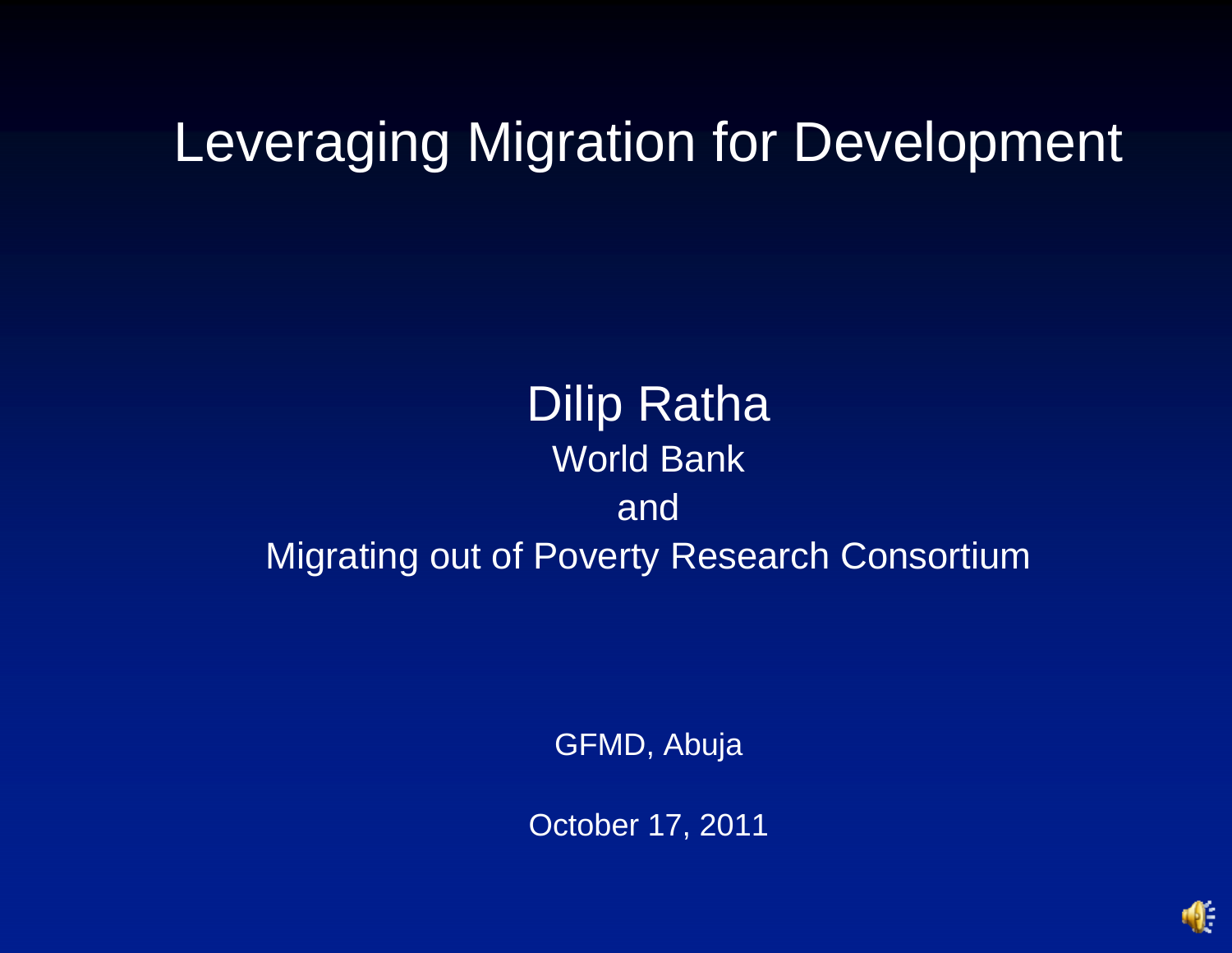# Leveraging Migration for Development

#### **Dilip Ratha** World Bank and Migrating out of Poverty Research Consortium

GFMD, Abuja

October 17, 2011

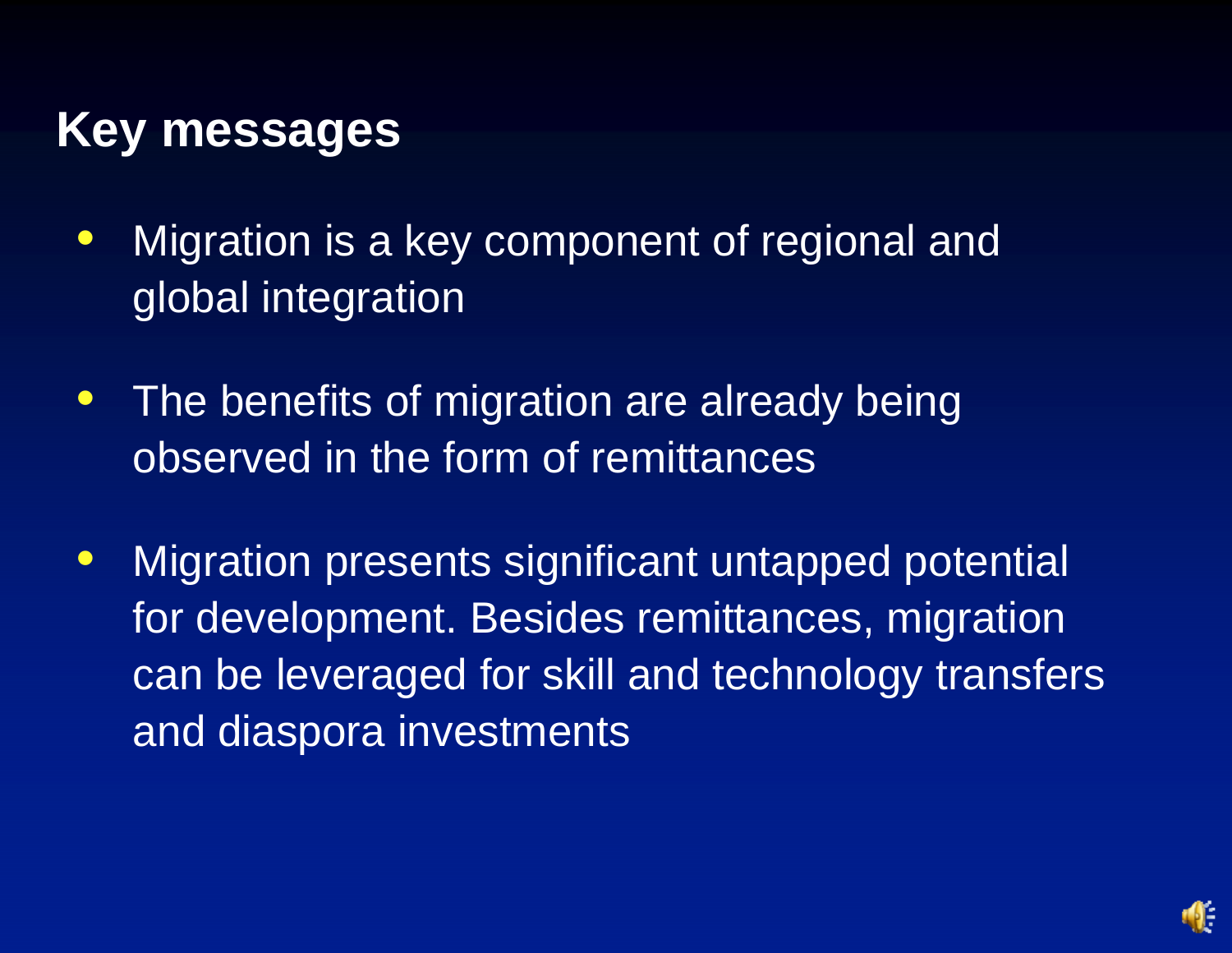### **Key messages**

- $\bullet$  Migration is a key component of regional and global integration
- $\bullet$  The benefits of migration are already being observed in the form of remittances
- $\bullet$  Migration presents significant untapped potential for development. Besides remittances, migration can be leveraged for skill and technology transfers and diaspora investments

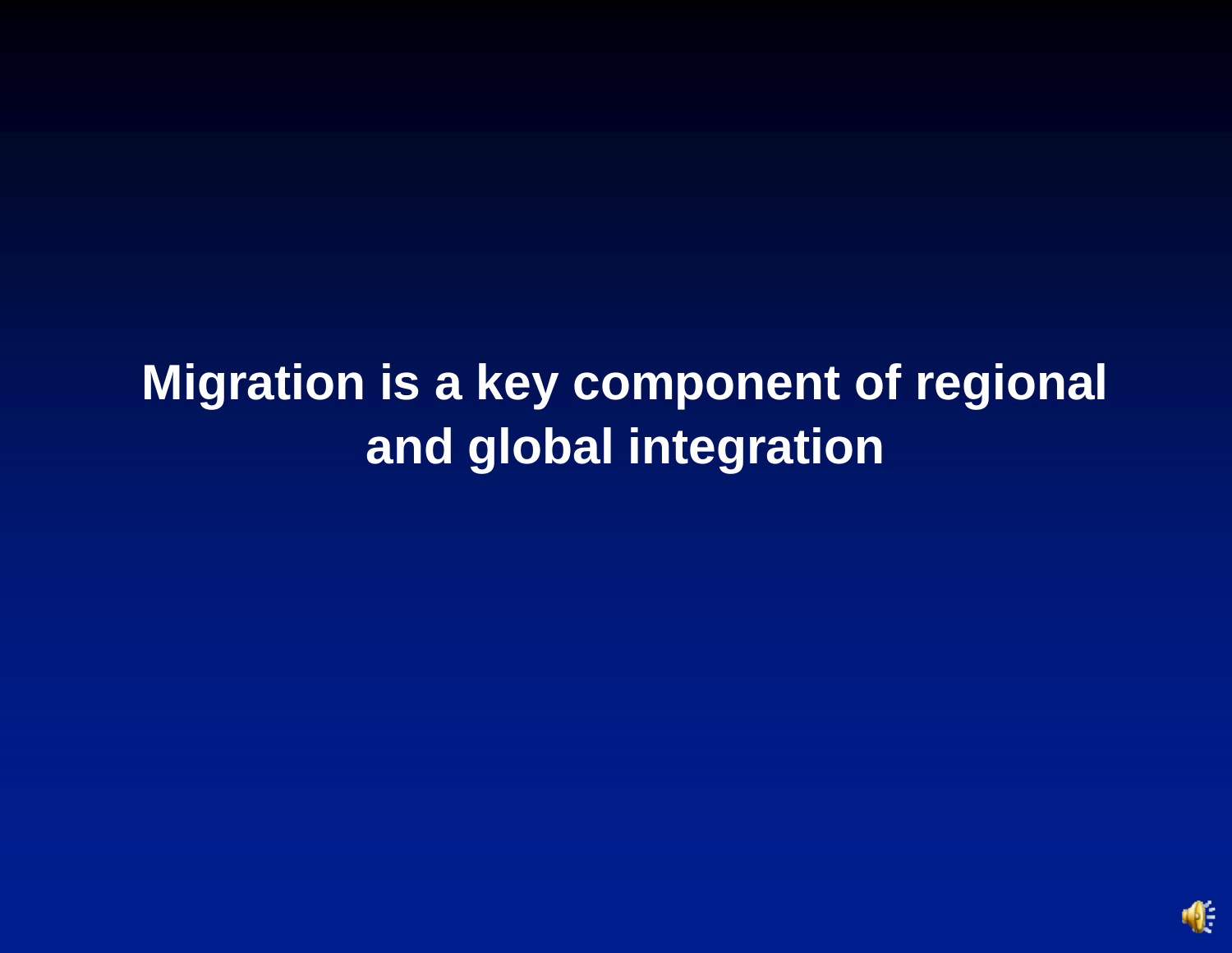# **Migration is a key component of regional and global integration**

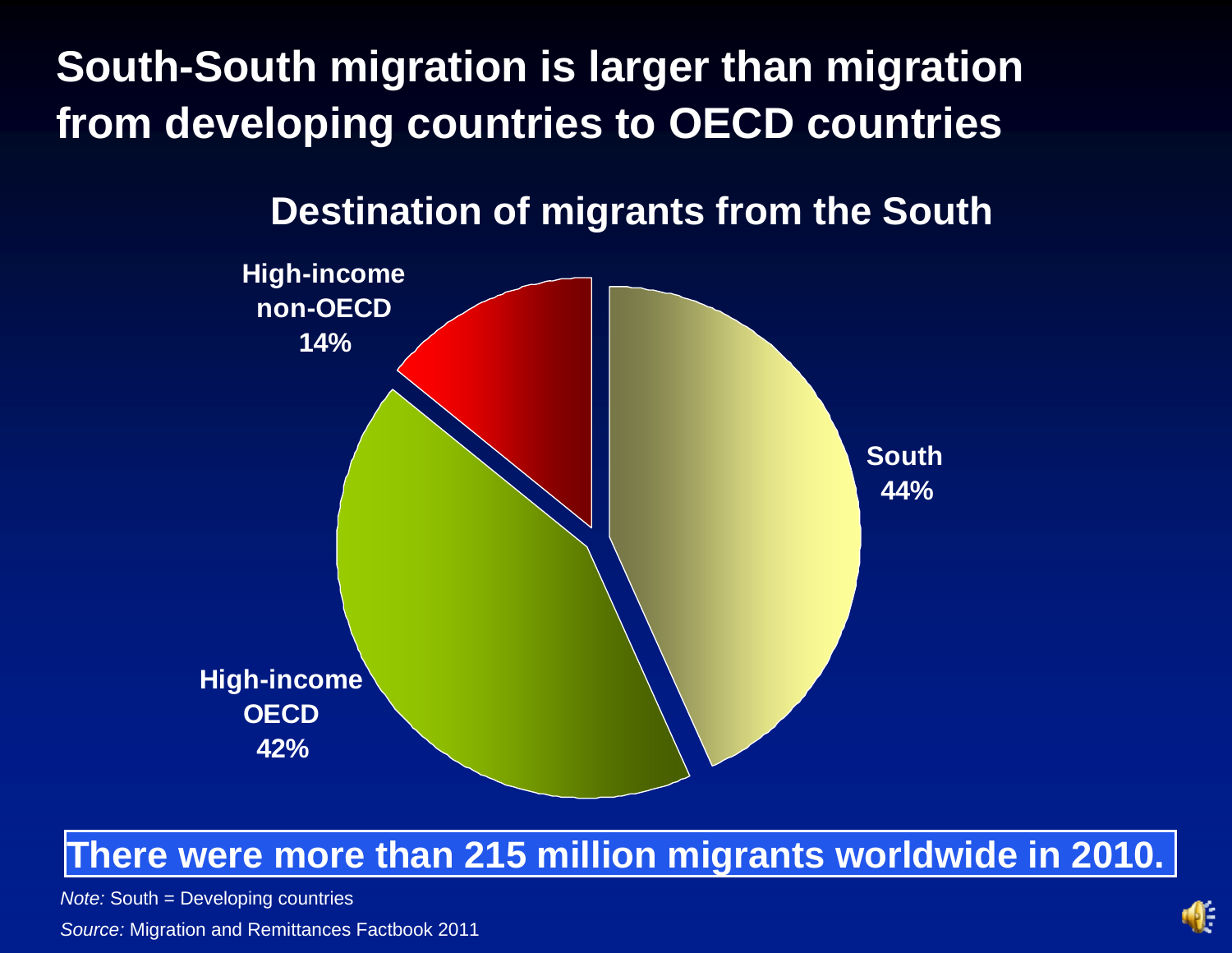**South-South migration is larger than migration from developing countries to OECD countries** 



#### **Destination of migrants from the South**

#### **There were more than 215 million migrants worldwide in 2010.**

*Note:* South = Developing countries

*Source:* Migration and Remittances Factbook 2011

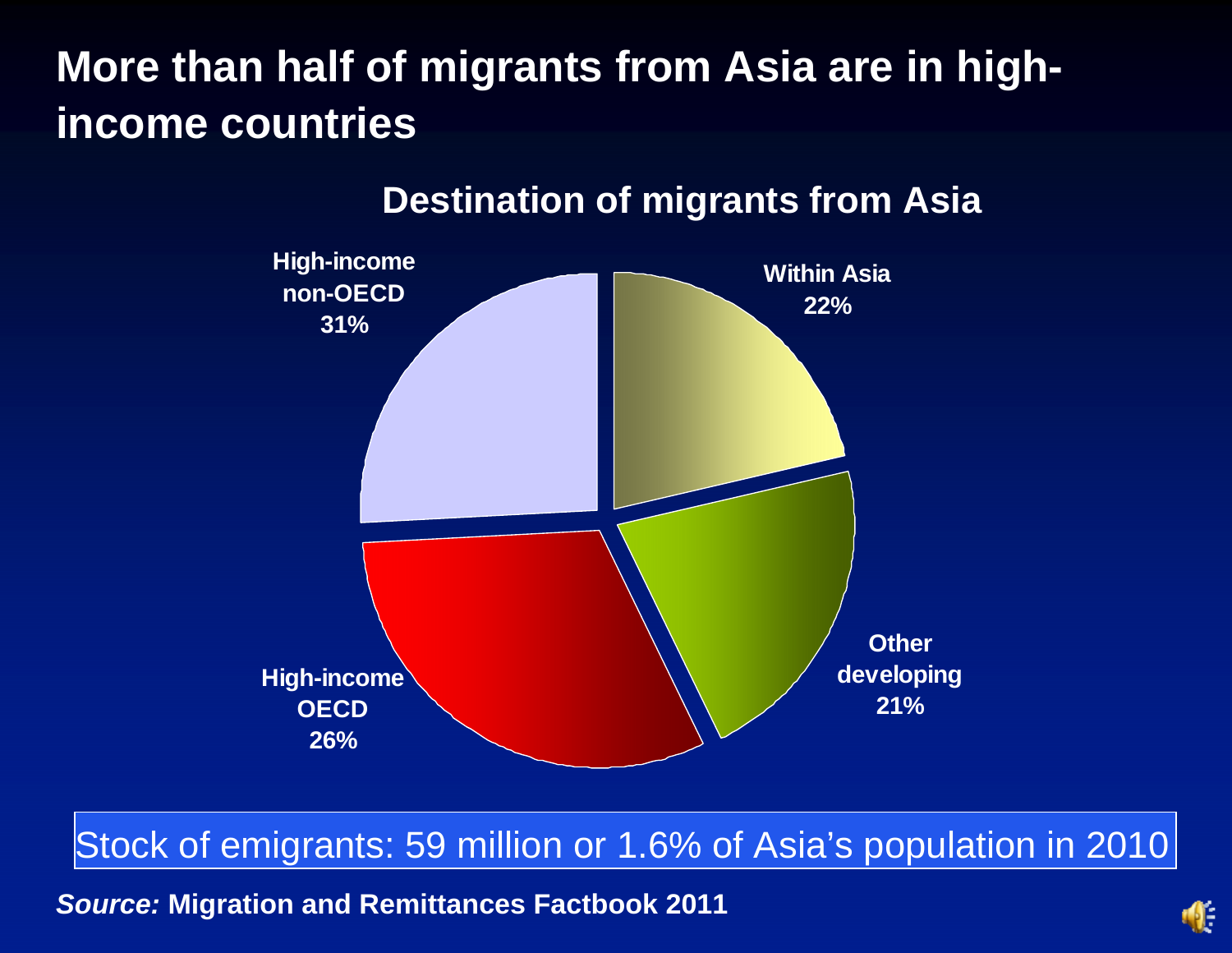### **More than half of migrants from Asia are in highincome countries**



#### **Destination of migrants from Asia**

Stock of emigrants: 59 million or 1.6% of Asia's population in 2010

*Source:* **Migration and Remittances Factbook 2011**

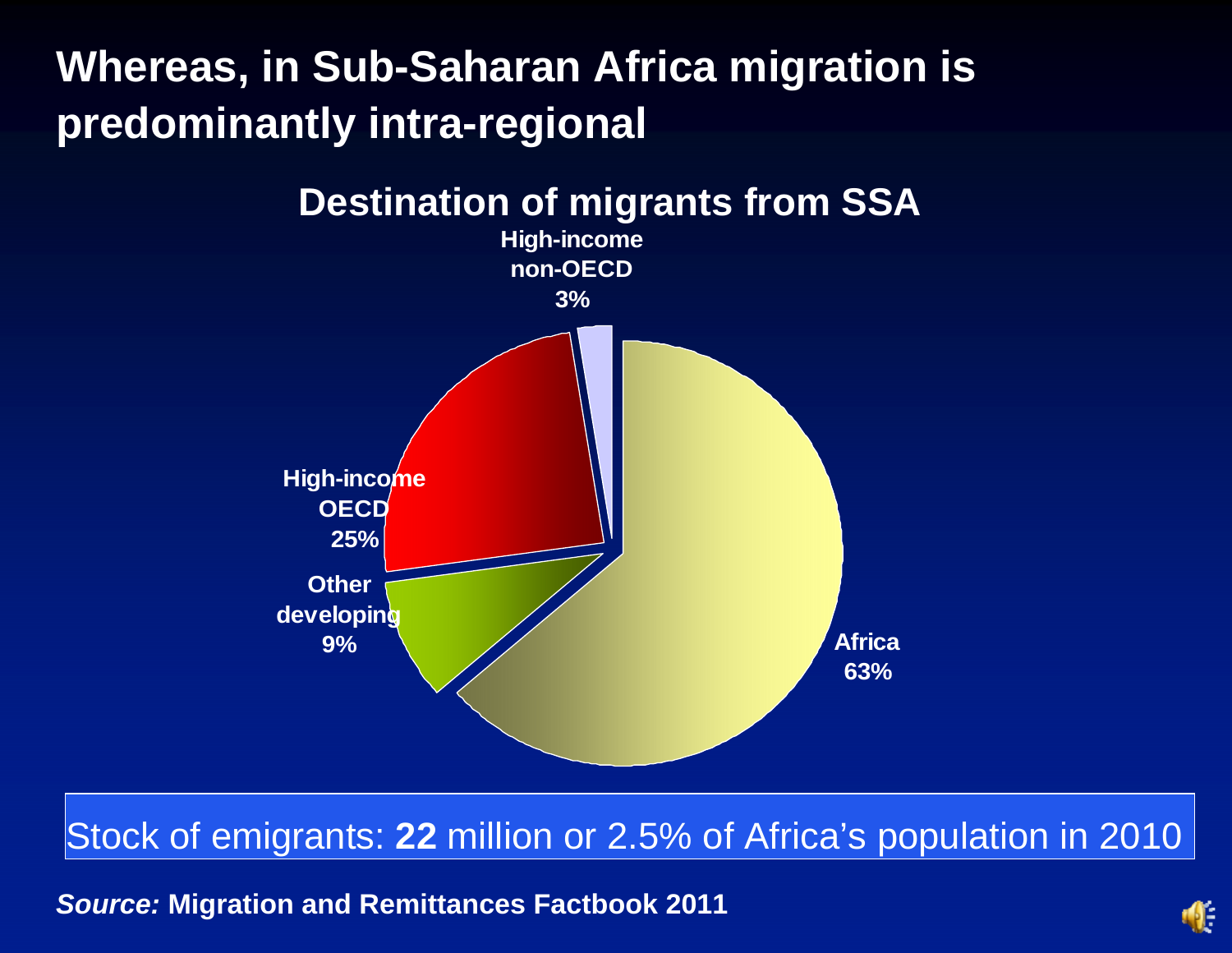### **Whereas, in Sub-Saharan Africa migration is predominantly intra-regional**



#### Stock of emigrants: **22** million or 2.5% of Africa's population in 2010

*Source:* **Migration and Remittances Factbook 2011**

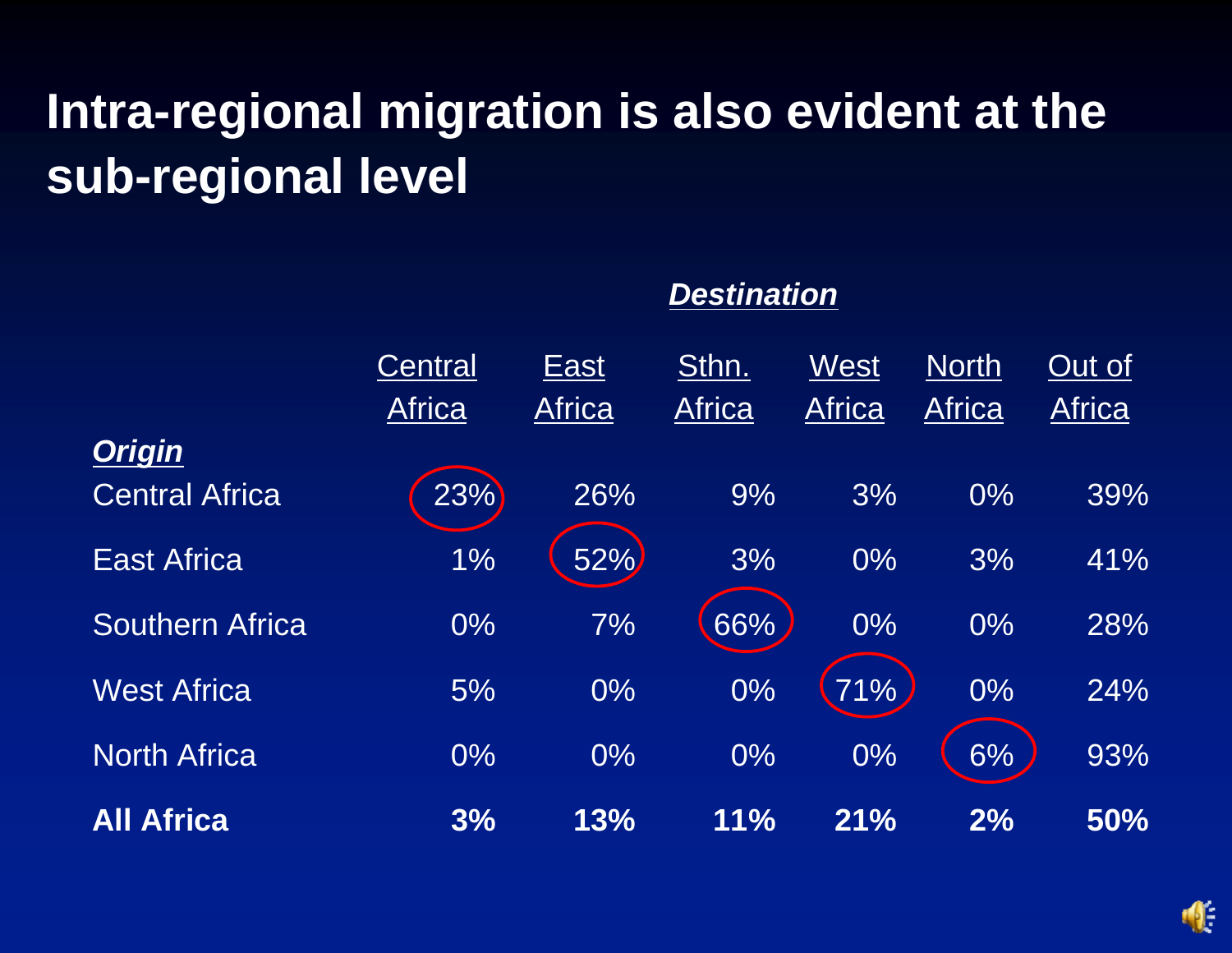# **Intra-regional migration is also evident at the sub-regional level**

|                        | Central<br><b>Africa</b> | East<br><b>Africa</b> | Sthn.<br><b>Africa</b> | West<br><b>Africa</b> | <b>North</b><br><b>Africa</b> | Out of<br><b>Africa</b> |
|------------------------|--------------------------|-----------------------|------------------------|-----------------------|-------------------------------|-------------------------|
| <b>Origin</b>          |                          |                       |                        |                       |                               |                         |
| <b>Central Africa</b>  | 23%                      | 26%                   | 9%                     | 3%                    | $0\%$                         | 39%                     |
| <b>East Africa</b>     | 1%                       | 52%                   | 3%                     | $0\%$                 | 3%                            | 41%                     |
| <b>Southern Africa</b> | $0\%$                    | 7%                    | 66%                    | $0\%$                 | $0\%$                         | 28%                     |
| <b>West Africa</b>     | 5%                       | $0\%$                 | 0%                     | 71%                   | 0%                            | 24%                     |
| <b>North Africa</b>    | $0\%$                    | $0\%$                 | $0\%$                  | $0\%$                 | 6%                            | 93%                     |
| <b>All Africa</b>      | 3%                       | 13%                   | 11%                    | 21%                   | 2%                            | 50%                     |



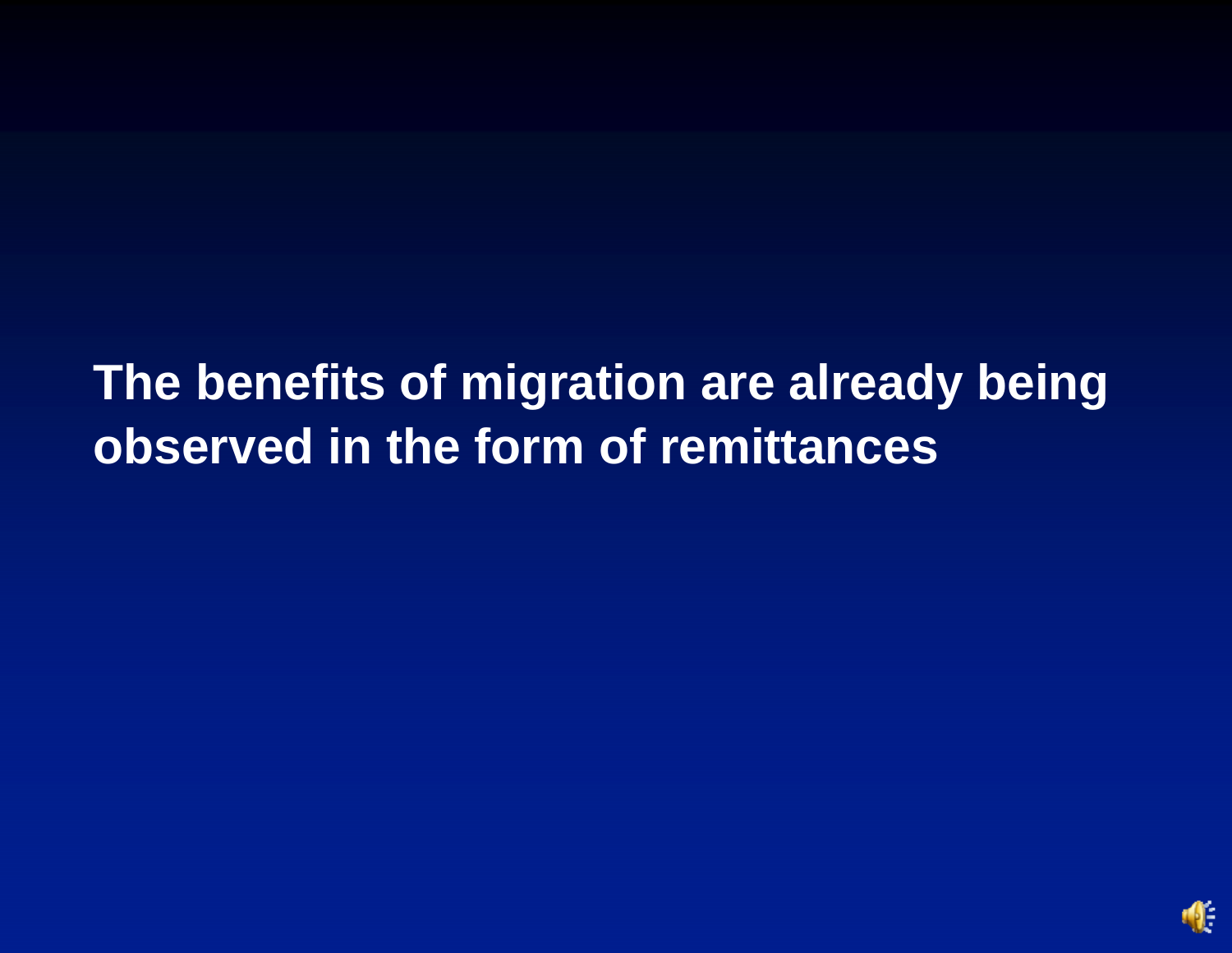**The benefits of migration are already being observed in the form of remittances** 

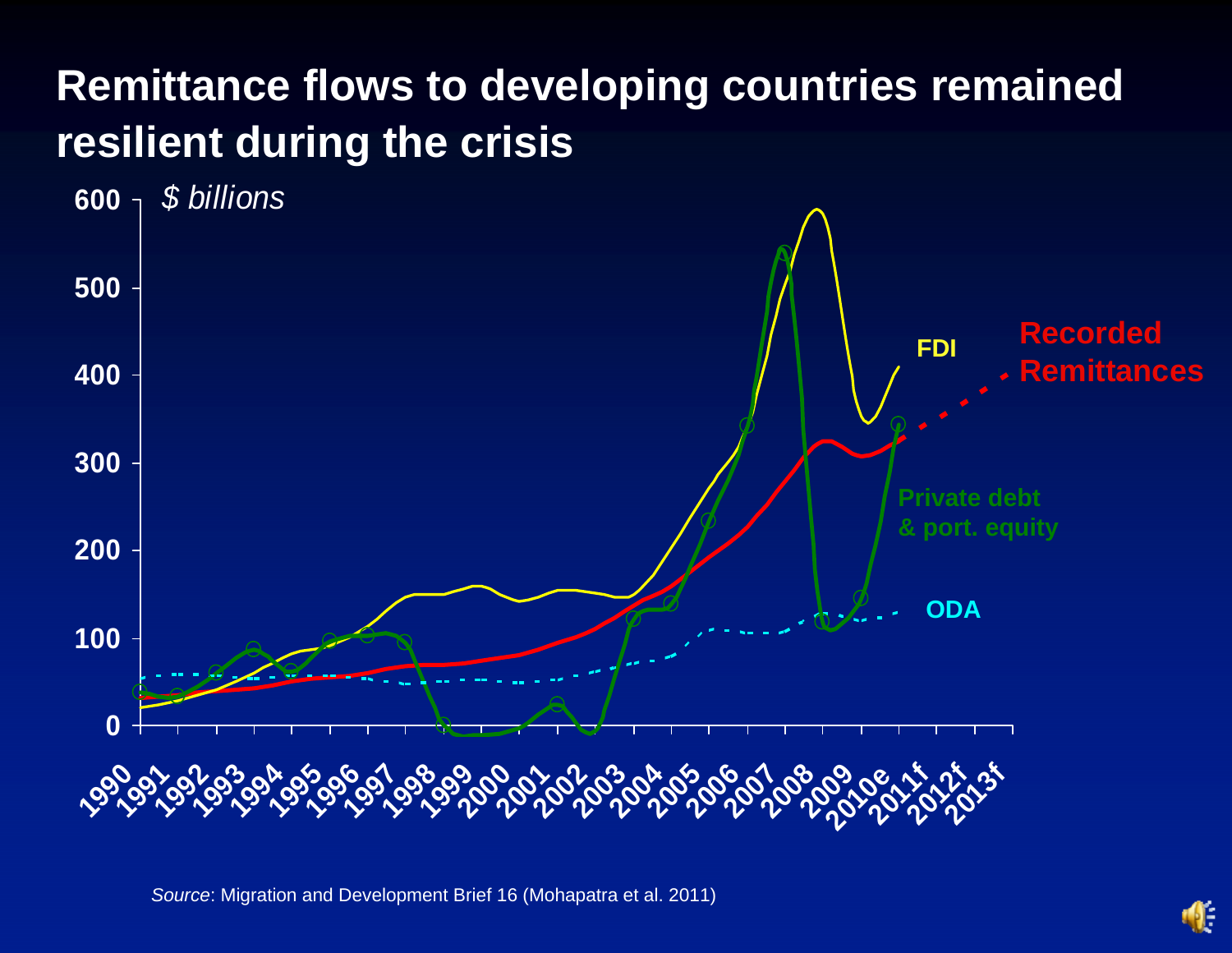### **Remittance flows to developing countries remained resilient during the crisis**



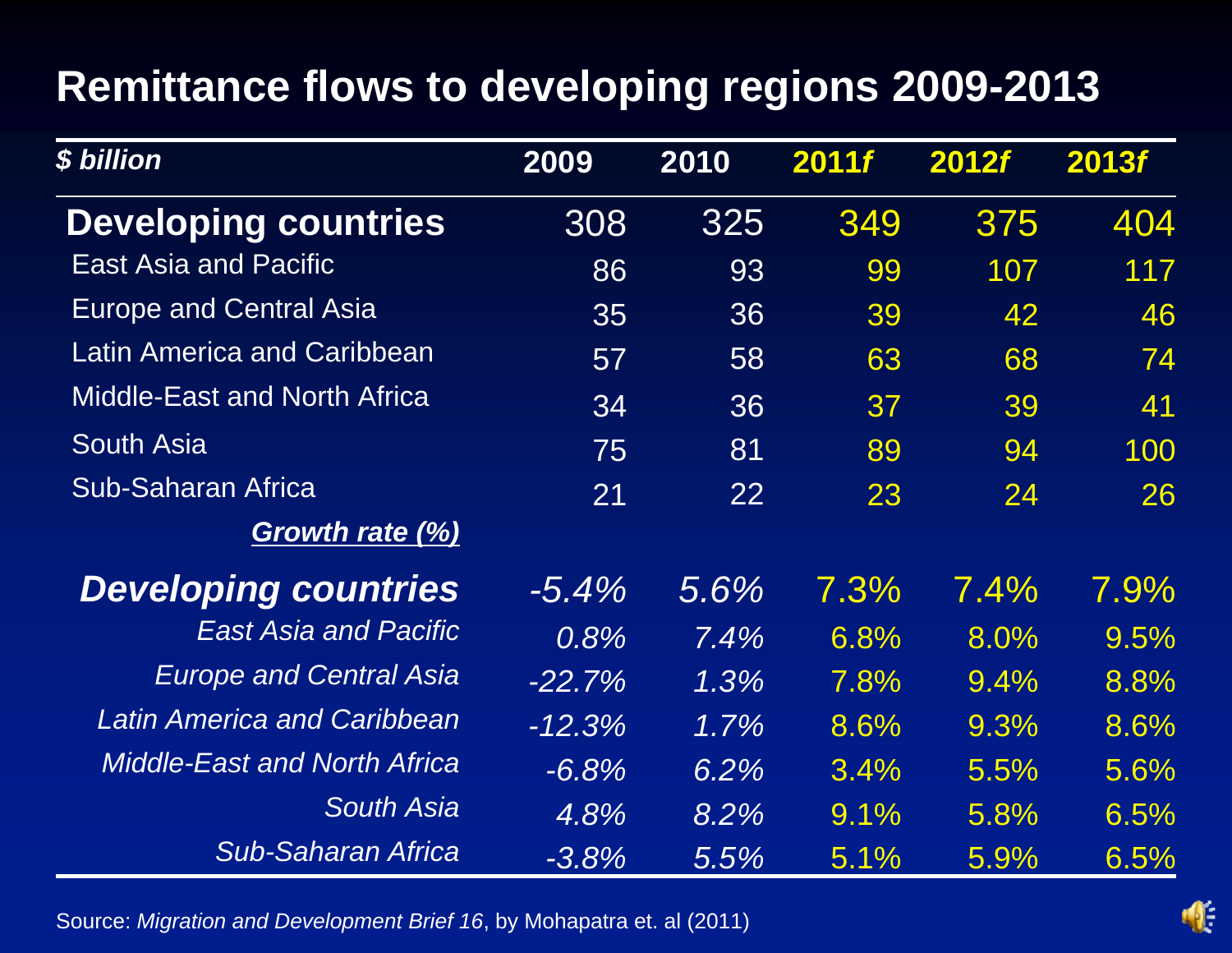### **Remittance flows to developing regions 2009-2013**

| \$ billion                          | 2009      | 2010    | 2011f | <b>2012f</b> | 2013f   |
|-------------------------------------|-----------|---------|-------|--------------|---------|
| <b>Developing countries</b>         | 308       | 325     | 349   | 375          | 404     |
| <b>East Asia and Pacific</b>        | 86        | 93      | 99    | 107          | 117     |
| <b>Europe and Central Asia</b>      | 35        | 36      | 39    | 42           | 46      |
| <b>Latin America and Caribbean</b>  | 57        | 58      | 63    | 68           | 74      |
| <b>Middle-East and North Africa</b> | 34        | 36      | 37    | 39           | 41      |
| <b>South Asia</b>                   | 75        | 81      | 89    | 94           | 100     |
| <b>Sub-Saharan Africa</b>           | 21        | 22      | 23    | 24           | 26      |
| <b>Growth rate (%)</b>              |           |         |       |              |         |
| <b>Developing countries</b>         | $-5.4\%$  | 5.6%    | 7.3%  | 7.4%         | $7.9\%$ |
| <b>East Asia and Pacific</b>        | 0.8%      | 7.4%    | 6.8%  | 8.0%         | 9.5%    |
| <b>Europe and Central Asia</b>      | $-22.7\%$ | $1.3\%$ | 7.8%  | 9.4%         | 8.8%    |
| Latin America and Caribbean         | $-12.3%$  | $1.7\%$ | 8.6%  | 9.3%         | 8.6%    |
| <b>Middle-East and North Africa</b> | $-6.8%$   | 6.2%    | 3.4%  | 5.5%         | 5.6%    |
| <b>South Asia</b>                   | 4.8%      | 8.2%    | 9.1%  | 5.8%         | 6.5%    |
| <b>Sub-Saharan Africa</b>           | $-3.8%$   | 5.5%    | 5.1%  | 5.9%         | 6.5%    |

Source: *Migration and Development Brief 16*, by Mohapatra et. al (2011)

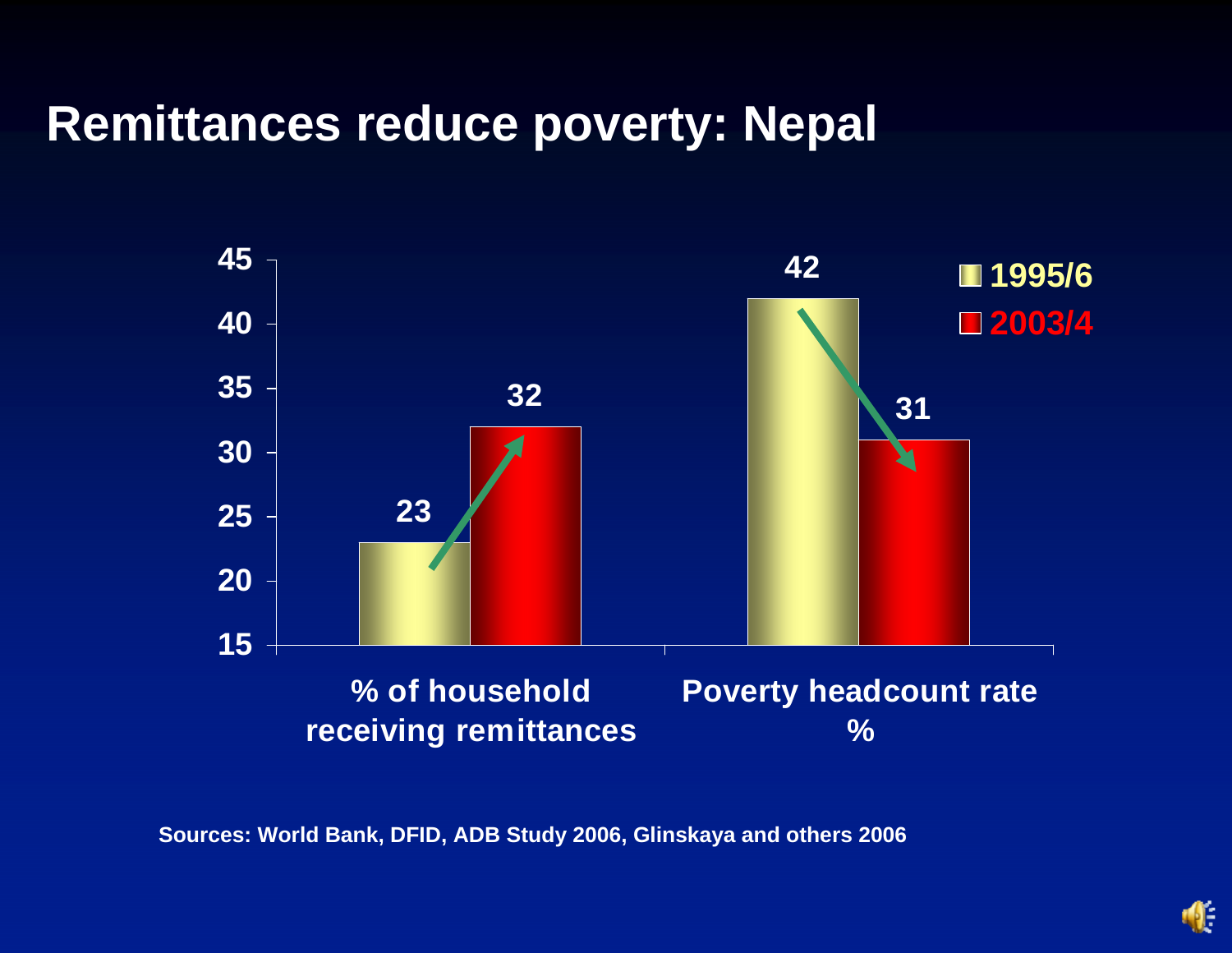### **Remittances reduce poverty: Nepal**



**Sources: World Bank, DFID, ADB Study 2006, Glinskaya and others 2006**

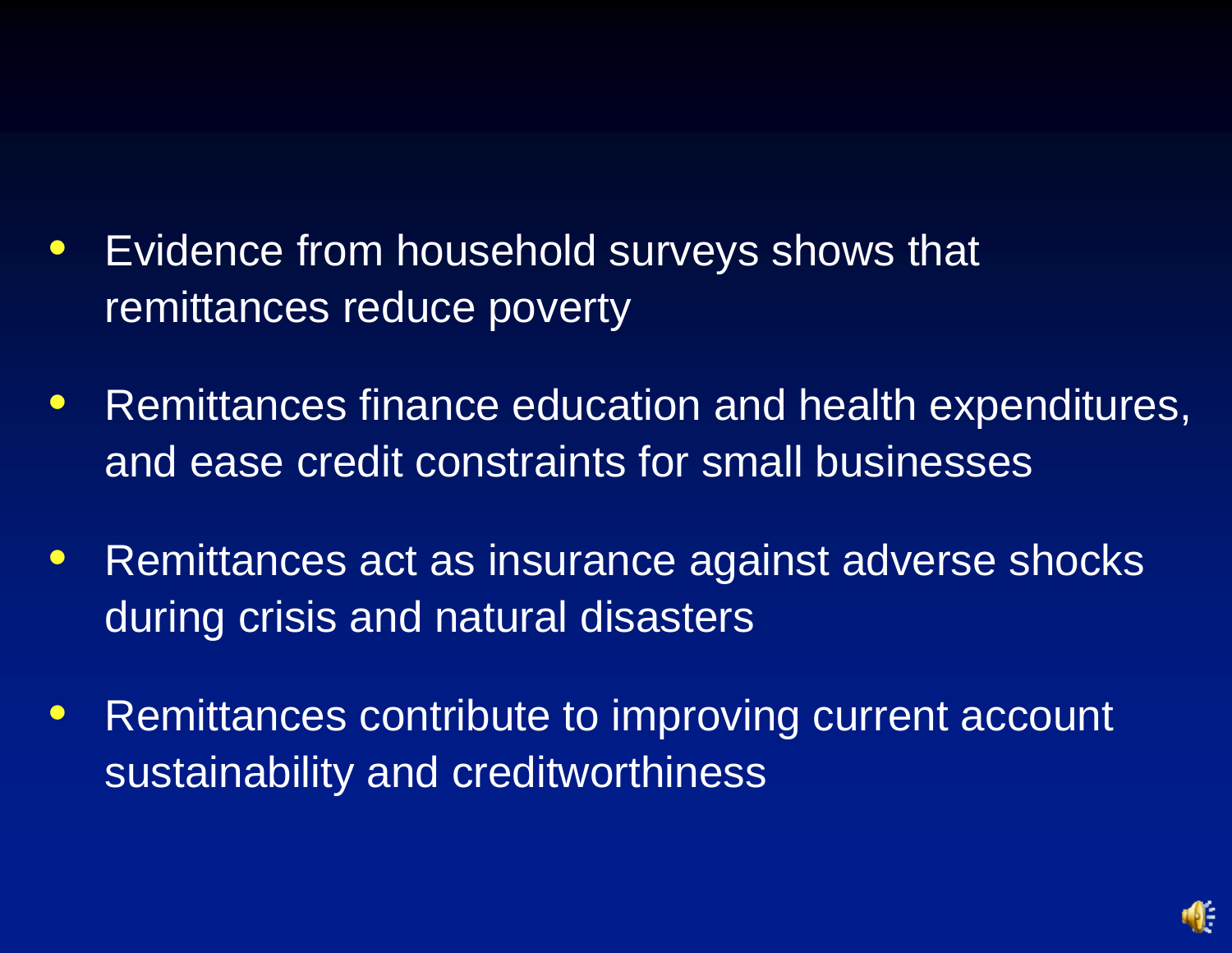- $\bullet$  Evidence from household surveys shows that remittances reduce poverty
- $\bullet$  Remittances finance education and health expenditures, and ease credit constraints for small businesses
- $\bullet$  Remittances act as insurance against adverse shocks during crisis and natural disasters
- $\bullet$  Remittances contribute to improving current account sustainability and creditworthiness

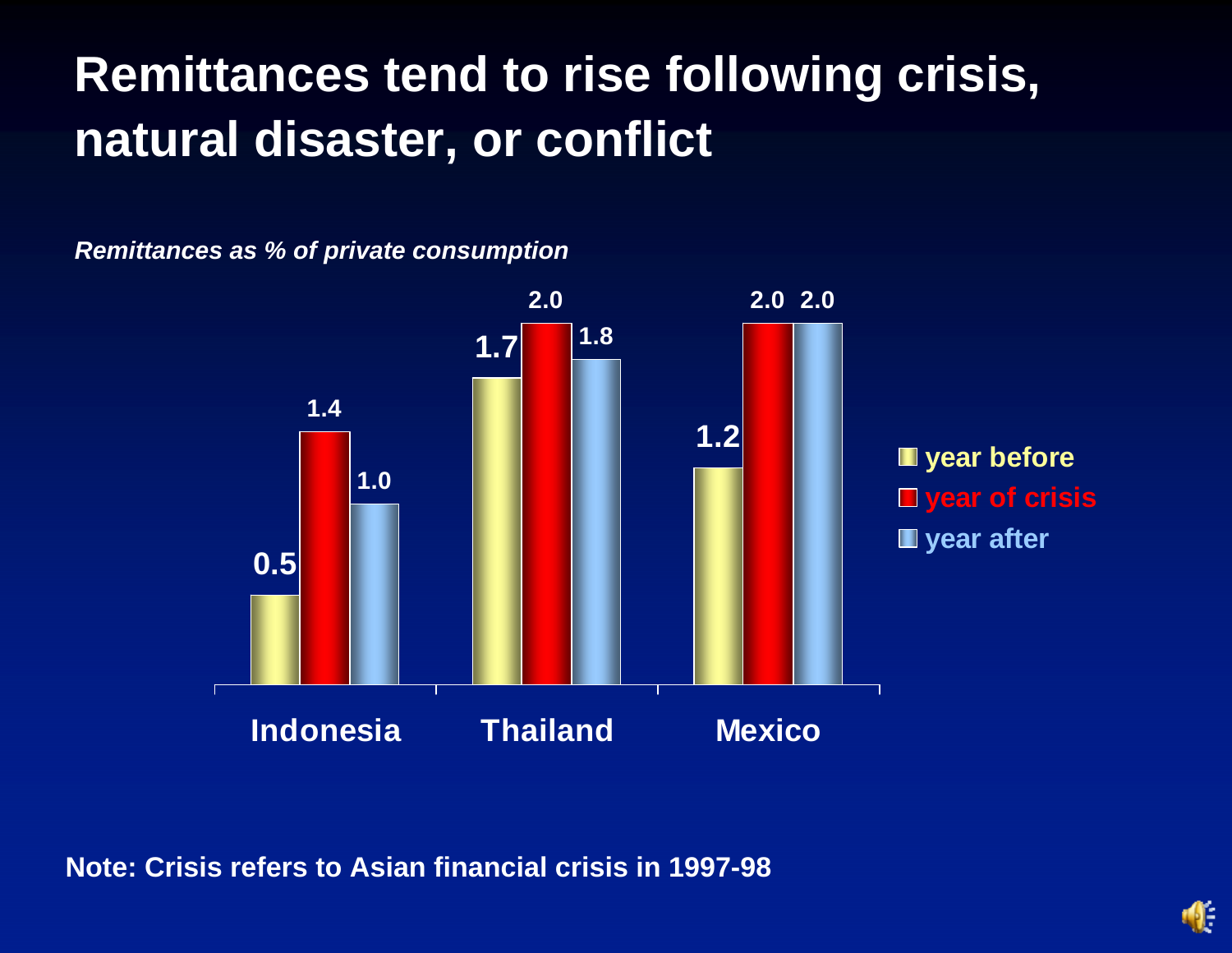# **Remittances tend to rise following crisis, natural disaster, or conflict**

*Remittances as % of private consumption*



**Note: Crisis refers to Asian financial crisis in 1997-98**

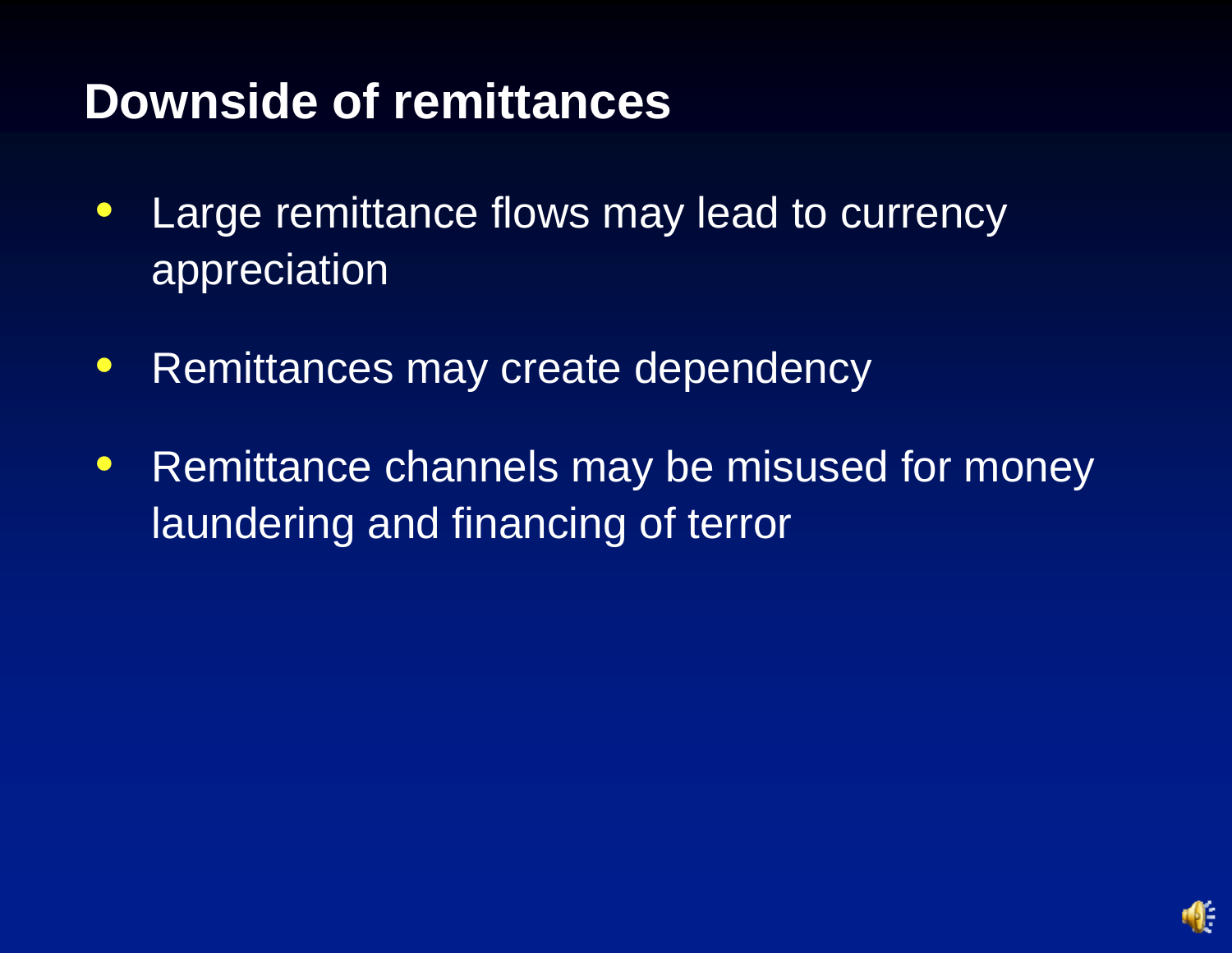### **Downside of remittances**

- $\bullet$  Large remittance flows may lead to currency appreciation
- $\bullet$ Remittances may create dependency
- $\bullet$  Remittance channels may be misused for money laundering and financing of terror

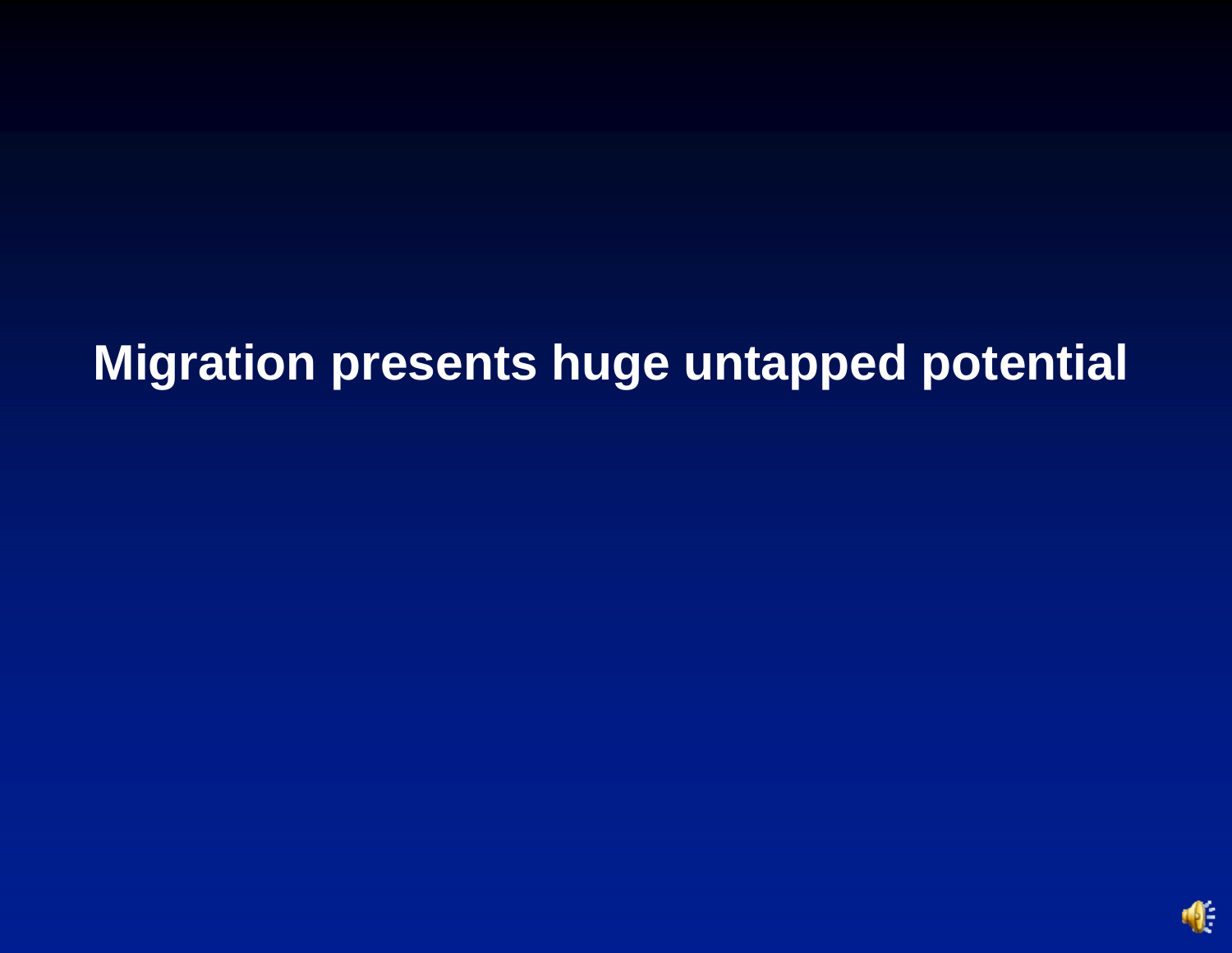# **Migration presents huge untapped potential**

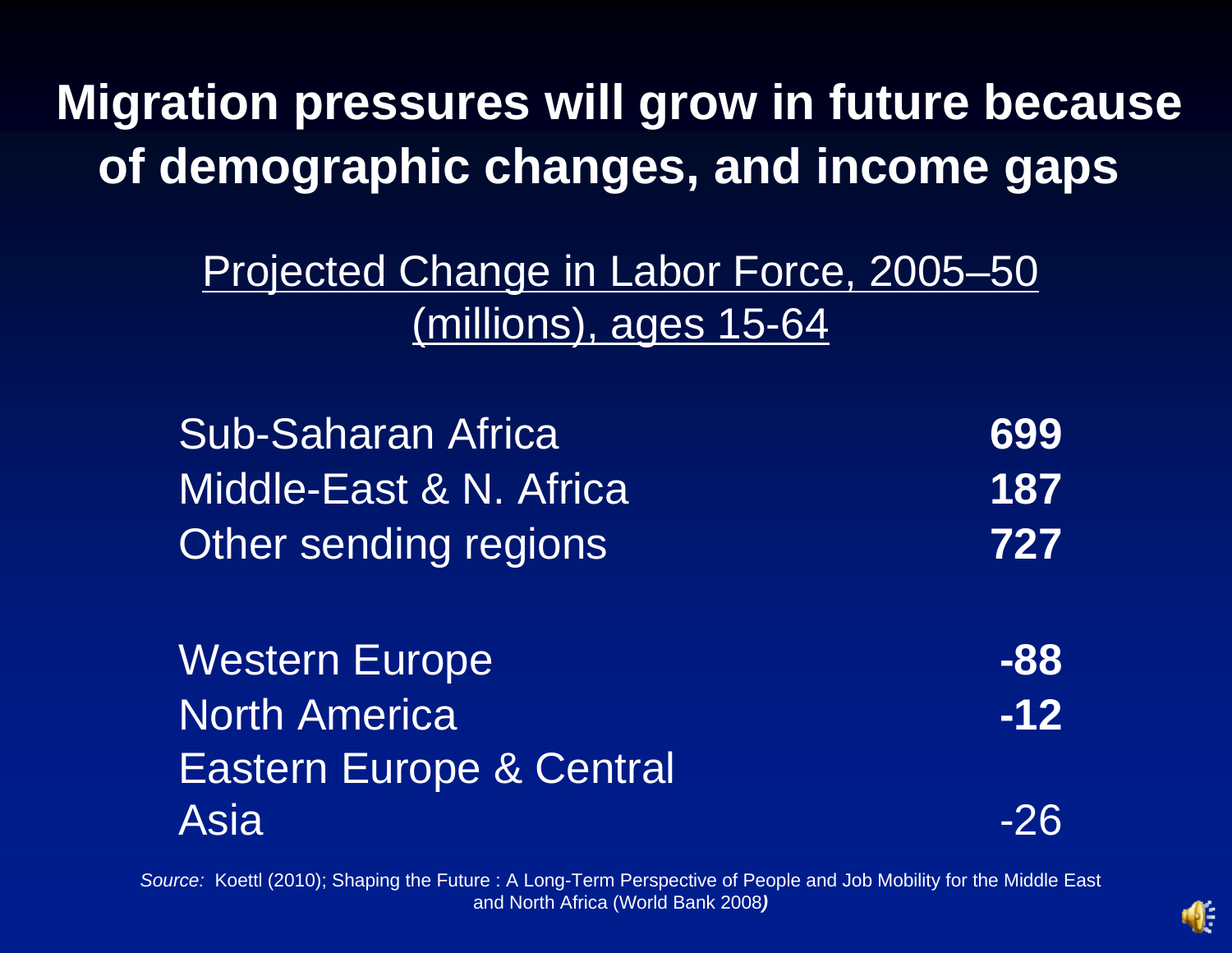**Migration pressures will grow in future because of demographic changes, and income gaps** 

> Projected Change in Labor Force, 2005–50 (millions), ages 15-64

Sub-Saharan Africa **699** Middle-East & N. Africa **187** Other sending regions **727**

Western Europe **Contains the Sea Algebra 1988** North America **-12** Eastern Europe & Central Asia-26

*Source:* Koettl (2010); Shaping the Future : A Long-Term Perspective of People and Job Mobility for the Middle East and North Africa (World Bank 2008 *)*

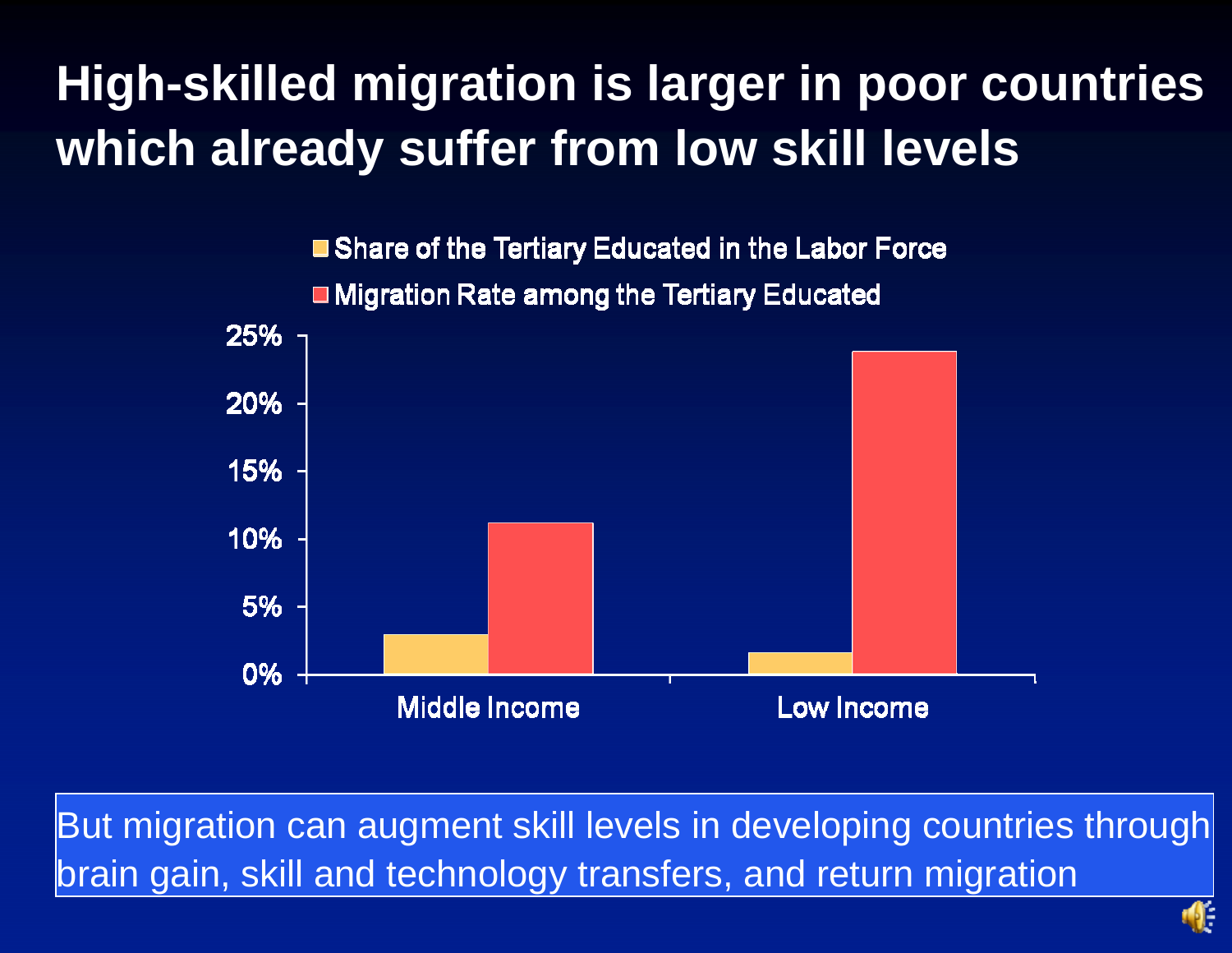# **High-skilled migration is larger in poor countries which already suffer from low skill levels**



But migration can augment skill levels in developing countries through brain gain, skill and technology transfers, and return migration

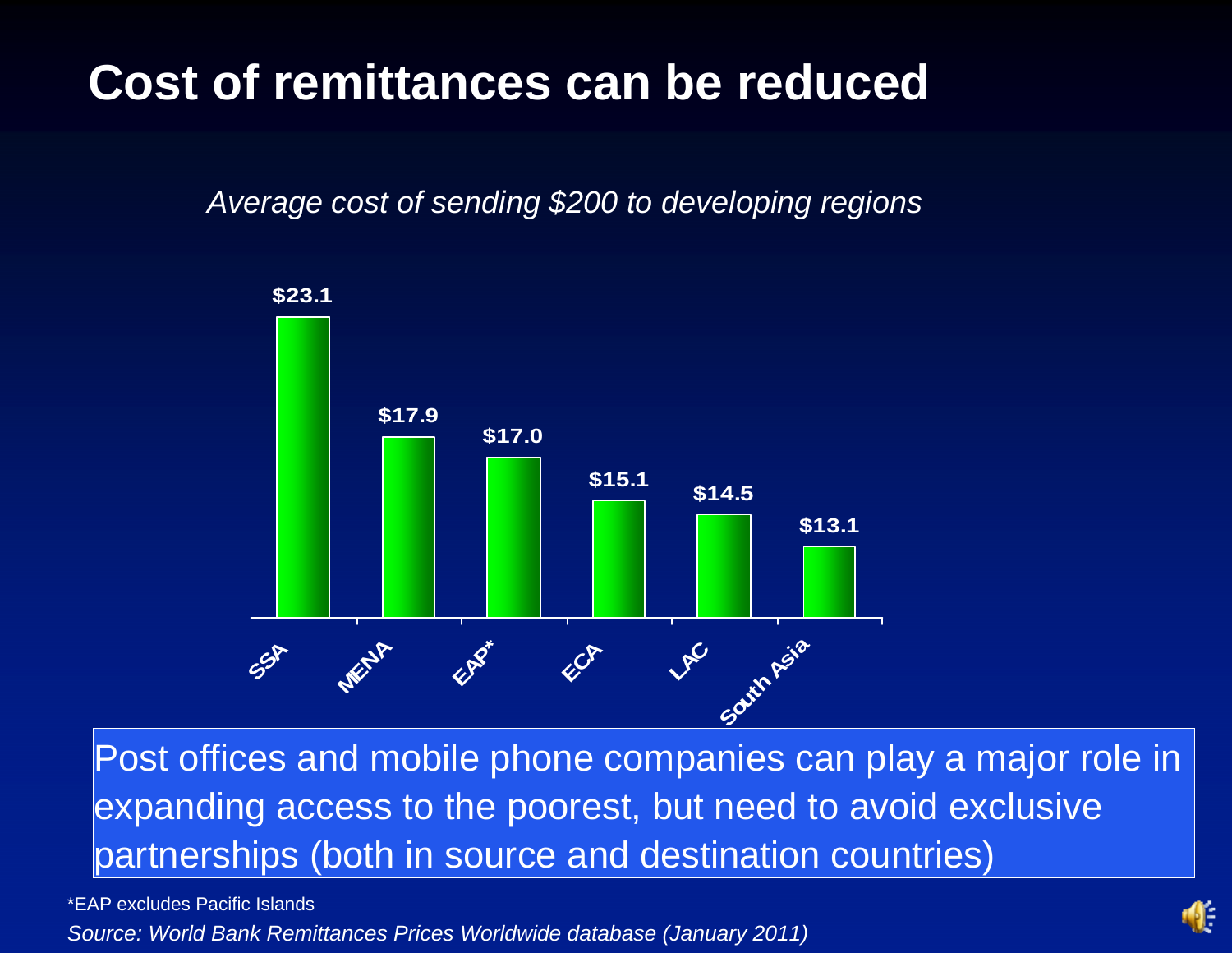## **Cost of remittances can be reduced**

*Average cost of sending \$200 to developing regions*



Post offices and mobile phone companies can play a major role in expanding access to the poorest, but need to avoid exclusive partnerships (both in source and destination countries)

*Source: World Bank Remittances Prices Worldwide database (January 2011)* \*EAP excludes Pacific Islands

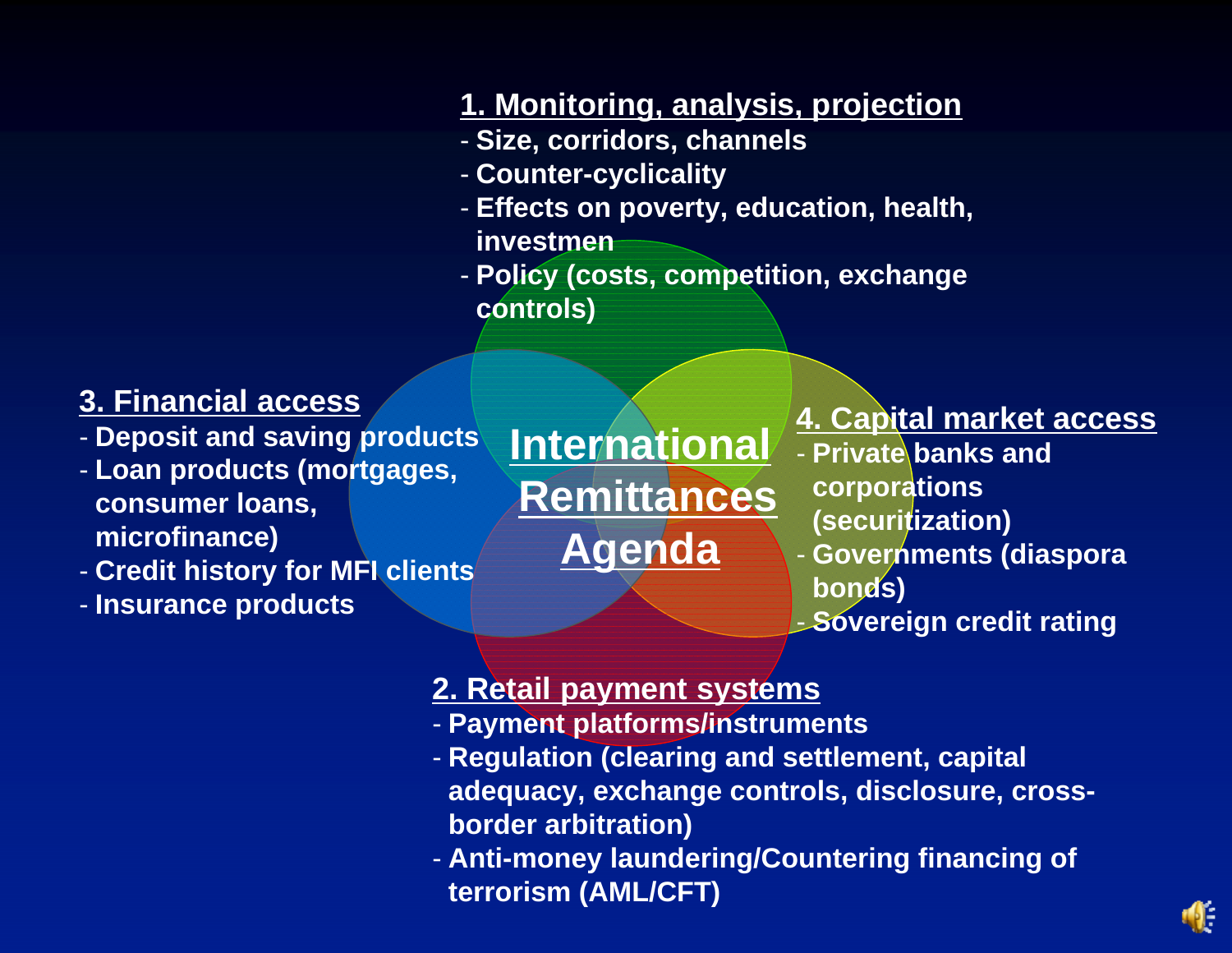#### **3. Financial access**

- **Deposit and saving products**

- **Loan products (mortgages, consumer loans, microfinance)**

- **Credit history for MFI clients**

- **Insurance products**

#### **1. Monitoring, analysis, projection**

- **Size, corridors, channels**
- **Counter-cyclicality**
- **Effects on poverty, education, health, investmen**
- **Policy (costs, competition, exchange controls)**

**International Remittances Agenda**

#### **4. Capital market access**

- **Private banks and corporations (securitization)**
- **Governments (diaspora bonds)**
- **Sovereign credit rating**

#### **2. Retail payment systems**

- **Payment platforms/instruments**
- **Regulation (clearing and settlement, capital adequacy, exchange controls, disclosure, crossborder arbitration)**
- **Anti-money laundering/Countering financing of terrorism (AML/CFT)**

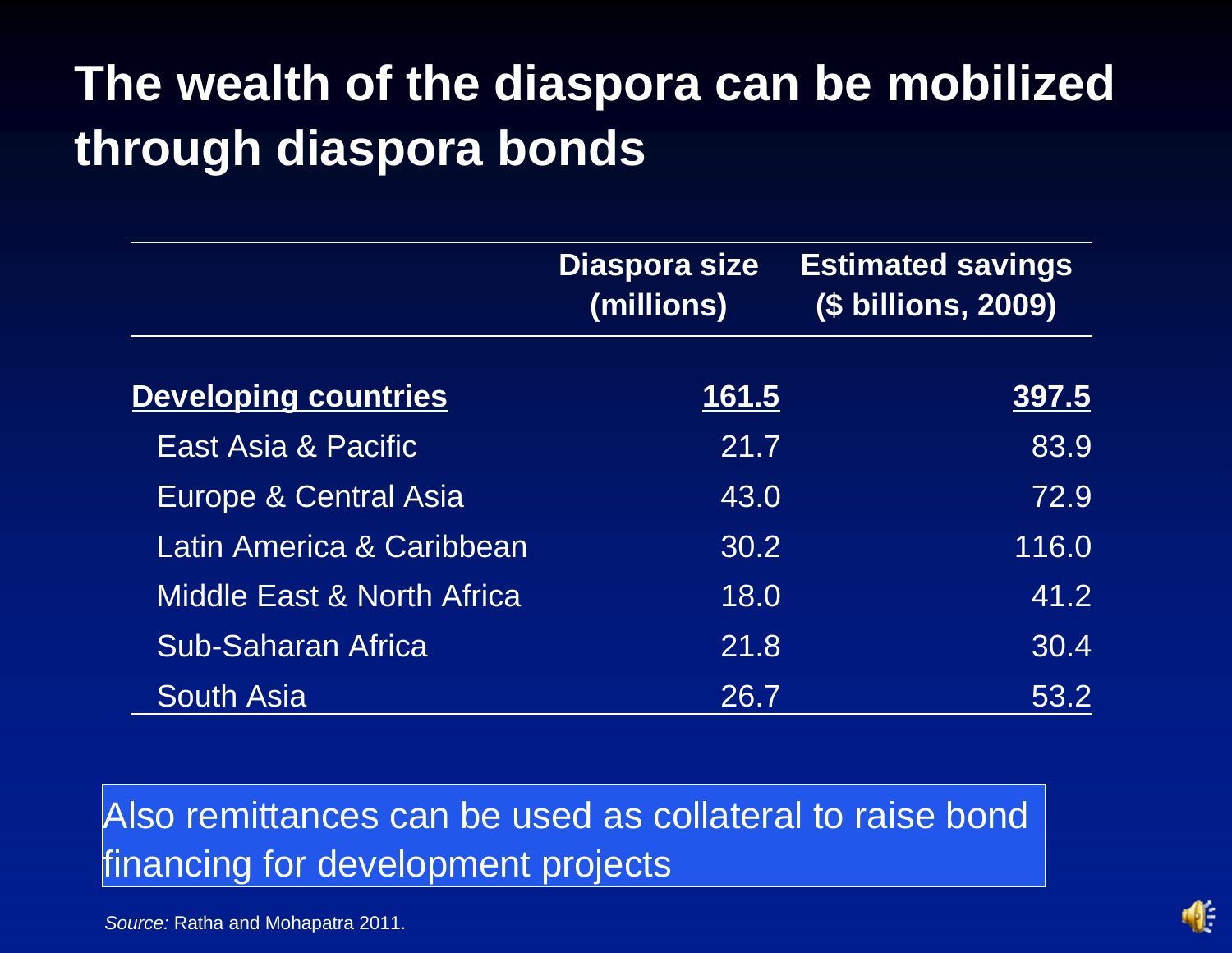# **The wealth of the diaspora can be mobilized through diaspora bonds**

|                                       | <b>Diaspora size</b><br>(millions) | <b>Estimated savings</b><br>(\$ billions, 2009) |  |
|---------------------------------------|------------------------------------|-------------------------------------------------|--|
| <b>Developing countries</b>           | <u> 161.5</u>                      | 397.5                                           |  |
| East Asia & Pacific                   | 21.7                               | 83.9                                            |  |
| <b>Europe &amp; Central Asia</b>      | 43.0                               | 72.9                                            |  |
| Latin America & Caribbean             | 30.2                               | 116.0                                           |  |
| <b>Middle East &amp; North Africa</b> | 18.0                               | 41.2                                            |  |
| <b>Sub-Saharan Africa</b>             | 21.8                               | 30.4                                            |  |
| <b>South Asia</b>                     | 26.7                               | 53.2                                            |  |

Also remittances can be used as collateral to raise bond financing for development projects

*Source:* Ratha and Mohapatra 2011.

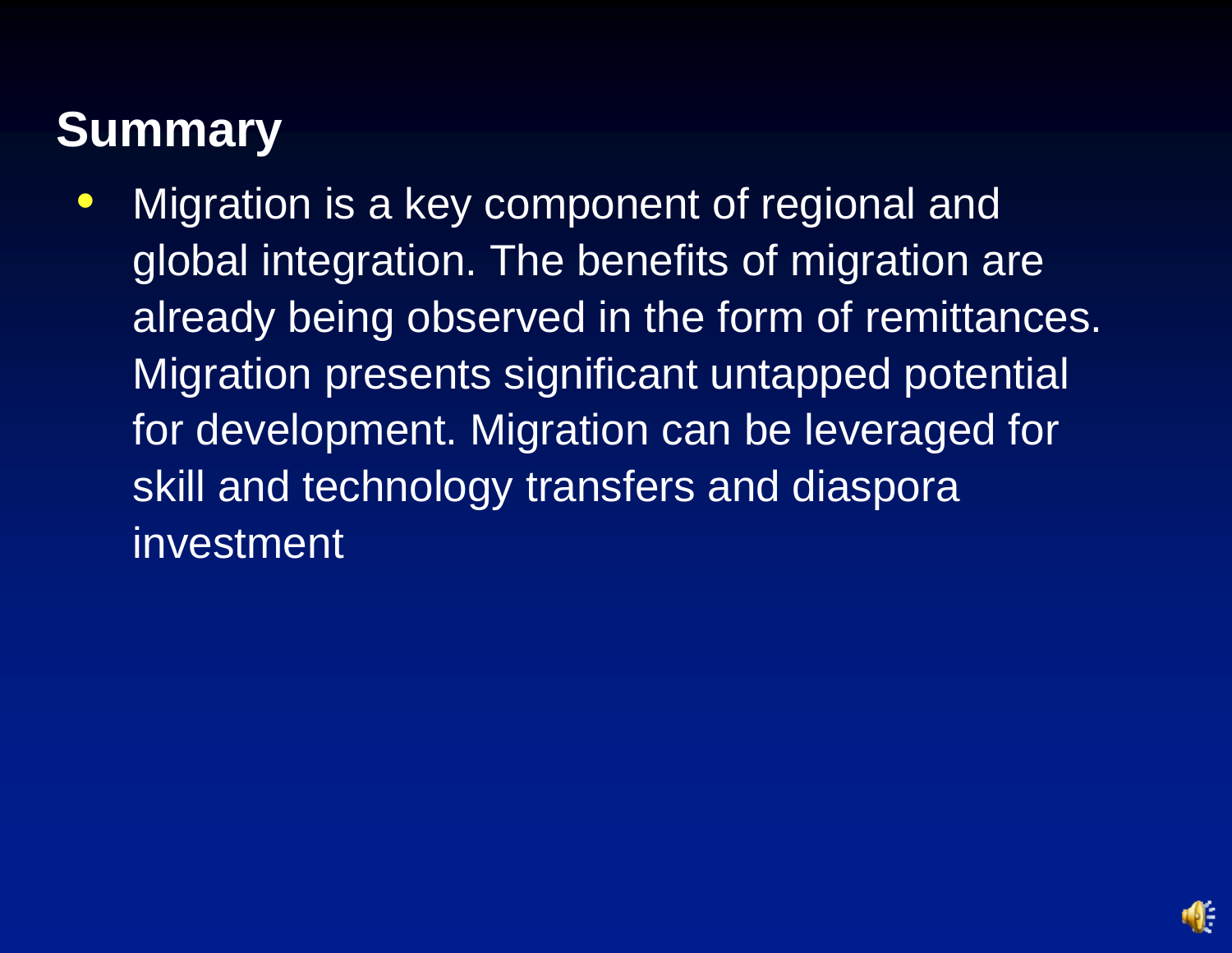### **Summary**

 $\bullet$  Migration is a key component of regional and global integration. The benefits of migration are already being observed in the form of remittances. Migration presents significant untapped potential for development. Migration can be leveraged for skill and technology transfers and diaspora investment

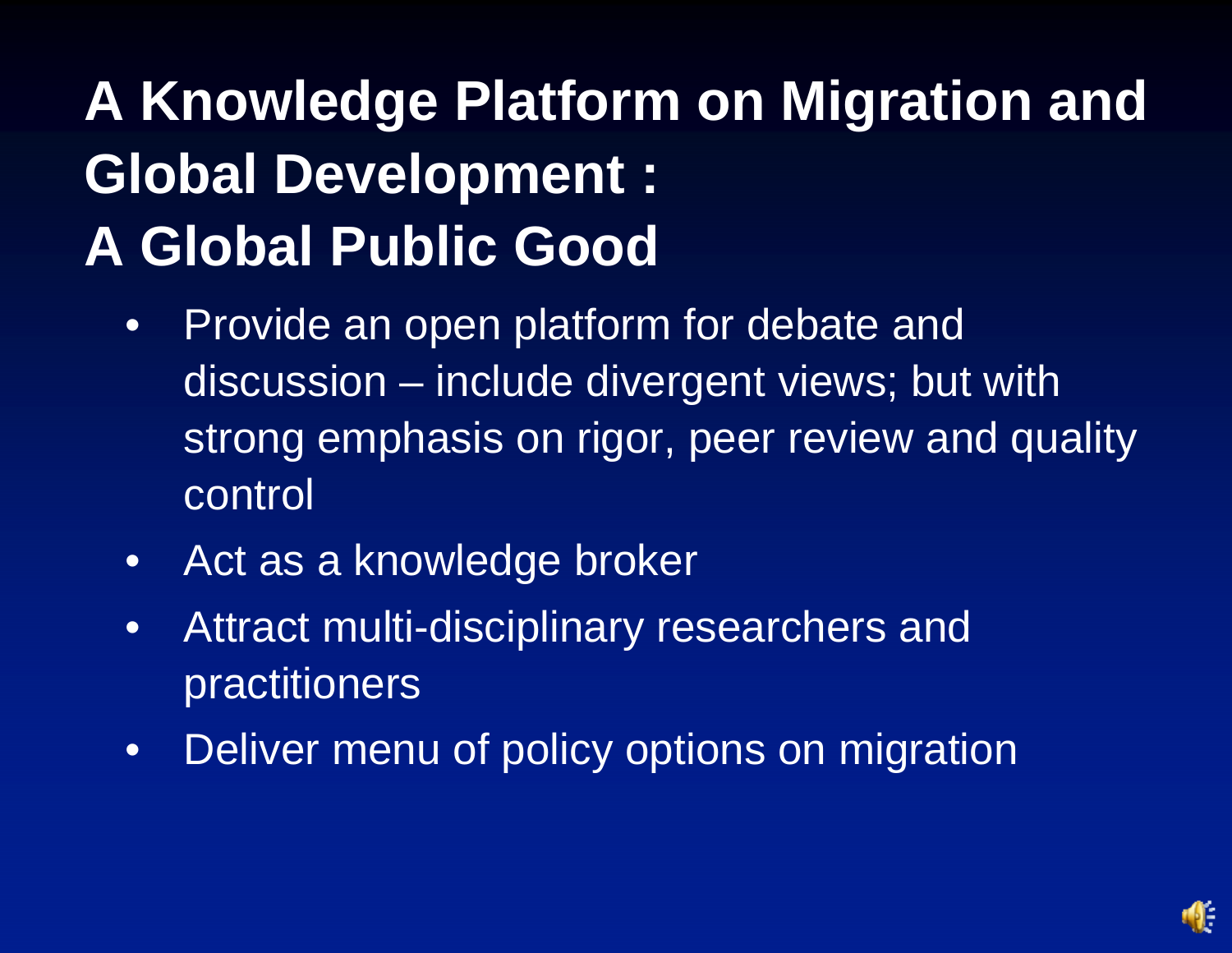# **A Knowledge Platform on Migration and Global Development : A Global Public Good**

- Provide an open platform for debate and discussion – include divergent views; but with strong emphasis on rigor, peer review and quality control
- Act as a knowledge broker
- Attract multi-disciplinary researchers and practitioners
- Deliver menu of policy options on migration

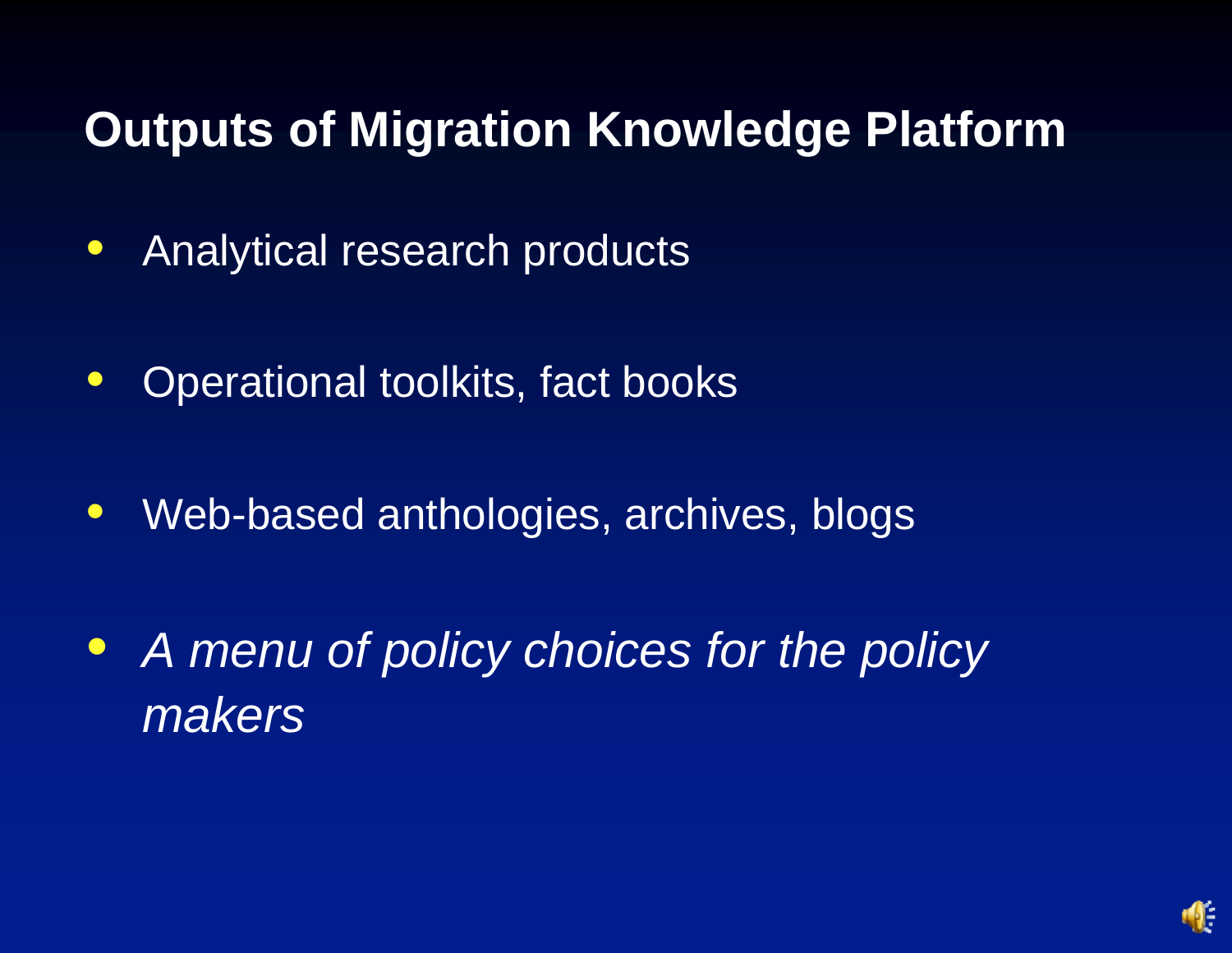### **Outputs of Migration Knowledge Platform**

- $\bullet$ Analytical research products
- $\bullet$ Operational toolkits, fact books
- $\bullet$ Web-based anthologies, archives, blogs
- $\bullet$  *A menu of policy choices for the policy makers*